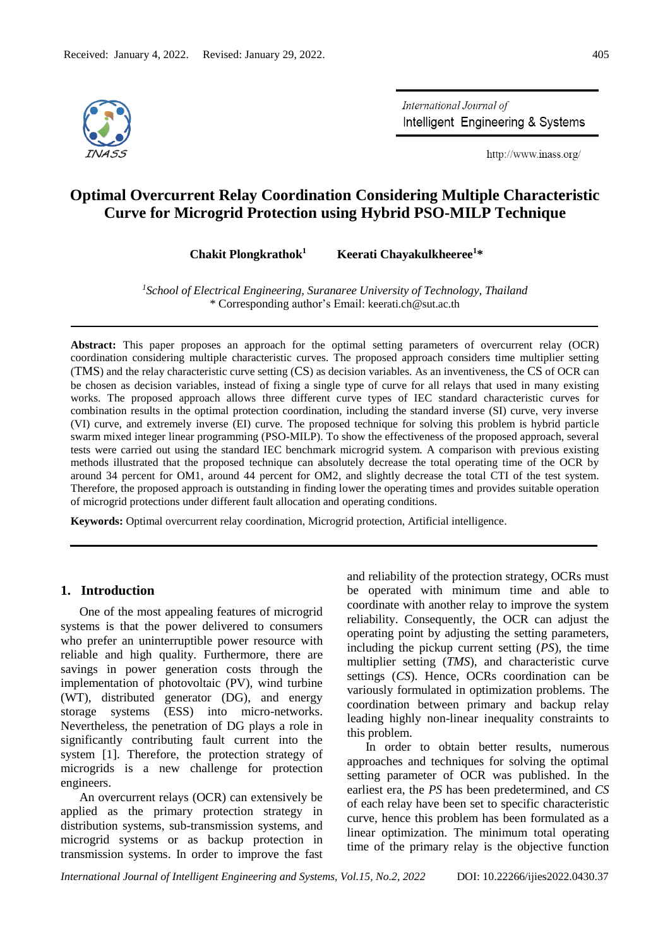

International Journal of Intelligent Engineering & Systems

http://www.inass.org/

# **Optimal Overcurrent Relay Coordination Considering Multiple Characteristic Curve for Microgrid Protection using Hybrid PSO-MILP Technique**

**Chakit Plongkrathok<sup>1</sup> Keerati Chayakulkheeree<sup>1</sup>\***

*1 School of Electrical Engineering, Suranaree University of Technology, Thailand* \* Corresponding author's Email: [keerati.ch@sut.ac.th](mailto:keerati.ch@sut.ac.th)

**Abstract:** This paper proposes an approach for the optimal setting parameters of overcurrent relay (OCR) coordination considering multiple characteristic curves. The proposed approach considers time multiplier setting (TMS) and the relay characteristic curve setting (CS) as decision variables. As an inventiveness, the CS of OCR can be chosen as decision variables, instead of fixing a single type of curve for all relays that used in many existing works. The proposed approach allows three different curve types of IEC standard characteristic curves for combination results in the optimal protection coordination, including the standard inverse (SI) curve, very inverse (VI) curve, and extremely inverse (EI) curve. The proposed technique for solving this problem is hybrid particle swarm mixed integer linear programming (PSO-MILP). To show the effectiveness of the proposed approach, several tests were carried out using the standard IEC benchmark microgrid system. A comparison with previous existing methods illustrated that the proposed technique can absolutely decrease the total operating time of the OCR by around 34 percent for OM1, around 44 percent for OM2, and slightly decrease the total CTI of the test system. Therefore, the proposed approach is outstanding in finding lower the operating times and provides suitable operation of microgrid protections under different fault allocation and operating conditions.

**Keywords:** Optimal overcurrent relay coordination, Microgrid protection, Artificial intelligence.

# **1. Introduction**

One of the most appealing features of microgrid systems is that the power delivered to consumers who prefer an uninterruptible power resource with reliable and high quality. Furthermore, there are savings in power generation costs through the implementation of photovoltaic (PV), wind turbine (WT), distributed generator (DG), and energy storage systems (ESS) into micro-networks. Nevertheless, the penetration of DG plays a role in significantly contributing fault current into the system [1]. Therefore, the protection strategy of microgrids is a new challenge for protection engineers.

An overcurrent relays (OCR) can extensively be applied as the primary protection strategy in distribution systems, sub-transmission systems, and microgrid systems or as backup protection in transmission systems. In order to improve the fast and reliability of the protection strategy, OCRs must be operated with minimum time and able to coordinate with another relay to improve the system reliability. Consequently, the OCR can adjust the operating point by adjusting the setting parameters, including the pickup current setting (*PS*), the time multiplier setting (*TMS*), and characteristic curve settings (*CS*). Hence, OCRs coordination can be variously formulated in optimization problems. The coordination between primary and backup relay leading highly non-linear inequality constraints to this problem.

In order to obtain better results, numerous approaches and techniques for solving the optimal setting parameter of OCR was published. In the earliest era, the *PS* has been predetermined, and *CS* of each relay have been set to specific characteristic curve, hence this problem has been formulated as a linear optimization. The minimum total operating time of the primary relay is the objective function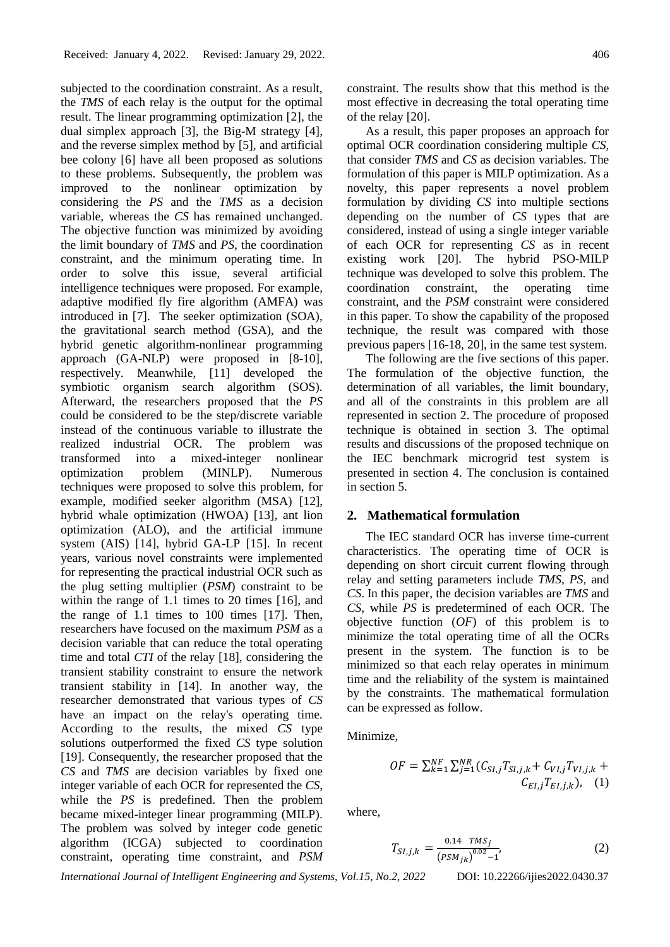subjected to the coordination constraint. As a result, the *TMS* of each relay is the output for the optimal result. The linear programming optimization [2], the dual simplex approach [3], the Big-M strategy [4], and the reverse simplex method by [5], and artificial bee colony [6] have all been proposed as solutions to these problems. Subsequently, the problem was improved to the nonlinear optimization by considering the *PS* and the *TMS* as a decision variable, whereas the *CS* has remained unchanged. The objective function was minimized by avoiding the limit boundary of *TMS* and *PS*, the coordination constraint, and the minimum operating time. In order to solve this issue, several artificial intelligence techniques were proposed. For example, adaptive modified fly fire algorithm (AMFA) was introduced in [7]. The seeker optimization (SOA), the gravitational search method (GSA), and the hybrid genetic algorithm-nonlinear programming approach (GA-NLP) were proposed in [8-10], respectively. Meanwhile, [11] developed the symbiotic organism search algorithm (SOS). Afterward, the researchers proposed that the *PS* could be considered to be the step/discrete variable instead of the continuous variable to illustrate the realized industrial OCR. The problem was transformed into a mixed-integer nonlinear optimization problem (MINLP). Numerous techniques were proposed to solve this problem, for example, modified seeker algorithm (MSA) [12], hybrid whale optimization (HWOA) [13], ant lion optimization (ALO), and the artificial immune system (AIS) [14], hybrid GA-LP [15]. In recent years, various novel constraints were implemented for representing the practical industrial OCR such as the plug setting multiplier (*PSM*) constraint to be within the range of 1.1 times to 20 times [16], and the range of 1.1 times to 100 times [17]. Then, researchers have focused on the maximum *PSM* as a decision variable that can reduce the total operating time and total *CTI* of the relay [18], considering the transient stability constraint to ensure the network transient stability in [14]. In another way, the researcher demonstrated that various types of *CS* have an impact on the relay's operating time. According to the results, the mixed *CS* type solutions outperformed the fixed *CS* type solution [19]. Consequently, the researcher proposed that the *CS* and *TMS* are decision variables by fixed one integer variable of each OCR for represented the *CS*, while the *PS* is predefined. Then the problem became mixed-integer linear programming (MILP). The problem was solved by integer code genetic algorithm (ICGA) subjected to coordination constraint, operating time constraint, and *PSM* constraint. The results show that this method is the most effective in decreasing the total operating time of the relay [20].

As a result, this paper proposes an approach for optimal OCR coordination considering multiple *CS*, that consider *TMS* and *CS* as decision variables. The formulation of this paper is MILP optimization. As a novelty, this paper represents a novel problem formulation by dividing *CS* into multiple sections depending on the number of *CS* types that are considered, instead of using a single integer variable of each OCR for representing *CS* as in recent existing work [20]. The hybrid PSO-MILP technique was developed to solve this problem. The coordination constraint, the operating time constraint, and the *PSM* constraint were considered in this paper. To show the capability of the proposed technique, the result was compared with those previous papers [16-18, 20], in the same test system.

The following are the five sections of this paper. The formulation of the objective function, the determination of all variables, the limit boundary, and all of the constraints in this problem are all represented in section 2. The procedure of proposed technique is obtained in section 3. The optimal results and discussions of the proposed technique on the IEC benchmark microgrid test system is presented in section 4. The conclusion is contained in section 5.

# **2. Mathematical formulation**

The IEC standard OCR has inverse time-current characteristics. The operating time of OCR is depending on short circuit current flowing through relay and setting parameters include *TMS*, *PS*, and *CS*. In this paper, the decision variables are *TMS* and *CS*, while *PS* is predetermined of each OCR. The objective function (*OF*) of this problem is to minimize the total operating time of all the OCRs present in the system. The function is to be minimized so that each relay operates in minimum time and the reliability of the system is maintained by the constraints. The mathematical formulation can be expressed as follow.

Minimize,

$$
OF = \sum_{k=1}^{NF} \sum_{j=1}^{NR} (C_{SI,j}T_{SI,j,k} + C_{VI,j}T_{VI,j,k} + C_{EI,j}T_{EI,j,k}),
$$
 (1)

where,

$$
T_{SI,j,k} = \frac{0.14 \text{ TMS}_j}{\left(\text{PSM}_{jk}\right)^{0.02} - 1},\tag{2}
$$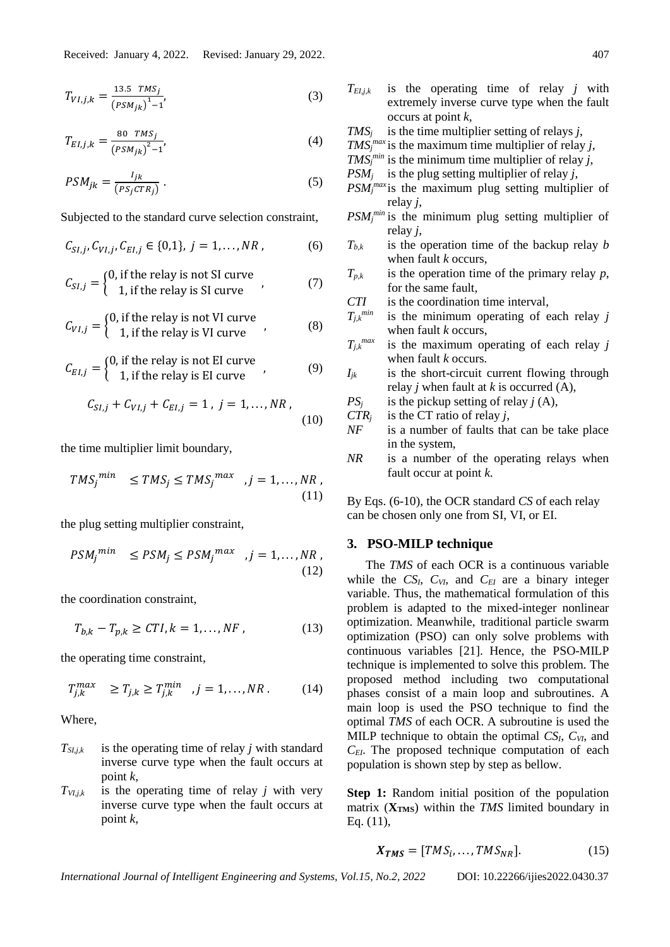$$
T_{VI,j,k} = \frac{13.5 \text{ TMS}_j}{\left(\text{PSM}_{jk}\right)^1 - 1},\tag{3}
$$

$$
T_{EI,j,k} = \frac{80 \text{ TMS}_j}{\left(\text{PSM}_{jk}\right)^2 - 1},\tag{4}
$$

$$
PSM_{jk} = \frac{I_{jk}}{(PS_j CTR_j)}.
$$
 (5)

Subjected to the standard curve selection constraint,

$$
C_{SI,j}, C_{VI,j}, C_{EI,j} \in \{0,1\}, \ j=1,\ldots, NR \,, \eqno(6)
$$

$$
C_{SI,j} = \begin{cases} 0, & \text{if the relay is not SI curve} \\ 1, & \text{if the relay is SI curve} \end{cases}
$$
 (7)

$$
C_{VI,j} = \begin{cases} 0, & \text{if the relay is not VI curve} \\ 1, & \text{if the relay is VI curve} \end{cases}
$$
 (8)

$$
C_{EI,j} = \begin{cases} 0, & \text{if the relay is not El curve} \\ 1, & \text{if the relay is El curve} \end{cases}
$$
 (9)

$$
C_{SI,j} + C_{VI,j} + C_{EI,j} = 1, j = 1,..., NR,
$$
\n(10)

the time multiplier limit boundary,

$$
TMS_j^{min} \leq TMS_j \leq TMS_j^{max}, j = 1, ..., NR,
$$
\n(11)

the plug setting multiplier constraint,

$$
PSM_j^{min} \leq PSM_j \leq PSM_j^{max}, j = 1, ..., NR,
$$
\n(12)

the coordination constraint,

$$
T_{b,k} - T_{p,k} \ge CTI, k = 1, \dots, NF \,, \tag{13}
$$

the operating time constraint,

$$
T_{j,k}^{max} \ge T_{j,k} \ge T_{j,k}^{min} \quad j = 1, \dots, NR. \tag{14}
$$

Where,

- $T_{\text{S1},i,k}$  is the operating time of relay *j* with standard inverse curve type when the fault occurs at point *k*,
- $T_{VI, j,k}$  is the operating time of relay *j* with very inverse curve type when the fault occurs at point *k*,
- $T_{EL,ik}$  is the operating time of relay *j* with extremely inverse curve type when the fault occurs at point *k*,
- *TMS<sup>j</sup>* is the time multiplier setting of relays *j*,
- *TMS*<sup>*max*</sup> is the maximum time multiplier of relay *j*,
- *TMS*<sup>*min*</sup> is the minimum time multiplier of relay *j*,
- *PSM<sub>i</sub>* is the plug setting multiplier of relay *j*,
- *PSM<sup>j</sup> max* is the maximum plug setting multiplier of relay *j*,
- $PSM_j^{min}$  is the minimum plug setting multiplier of relay *j*,
- $T_{b,k}$  is the operation time of the backup relay *b* when fault *k* occurs,
- $T_{p,k}$  is the operation time of the primary relay *p*, for the same fault,
- *CTI* is the coordination time interval,
- $T_{i,k}$ <sup>*min*</sup> is the minimum operating of each relay  $j$ when fault *k* occurs,
- $T_{j,k}$ <sup>*max*</sup> is the maximum operating of each relay *j* when fault *k* occurs*.*
- $I_{ik}$  is the short-circuit current flowing through relay *j* when fault at *k* is occurred (A),

$$
PS_j
$$
 is the pickup setting of relay  $j(A)$ ,

- *CTR<sup>j</sup>* is the CT ratio of relay *j*,
- *NF* is a number of faults that can be take place in the system,
- *NR* is a number of the operating relays when fault occur at point *k*.

By Eqs. (6-10), the OCR standard *CS* of each relay can be chosen only one from SI, VI, or EI.

# **3. PSO-MILP technique**

The *TMS* of each OCR is a continuous variable while the  $CS_I$ ,  $C_{VI}$ , and  $C_{EI}$  are a binary integer variable. Thus, the mathematical formulation of this problem is adapted to the mixed-integer nonlinear optimization. Meanwhile, traditional particle swarm optimization (PSO) can only solve problems with continuous variables [21]. Hence, the PSO-MILP technique is implemented to solve this problem. The proposed method including two computational phases consist of a main loop and subroutines. A main loop is used the PSO technique to find the optimal *TMS* of each OCR. A subroutine is used the MILP technique to obtain the optimal *CSI*, *CVI*, and *CEI*. The proposed technique computation of each population is shown step by step as bellow.

**Step 1:** Random initial position of the population matrix  $(X_{TMS})$  within the *TMS* limited boundary in Eq. (11),

$$
\boldsymbol{X_{TMS}} = [TMS_i, \dots, TMS_{NR}]. \tag{15}
$$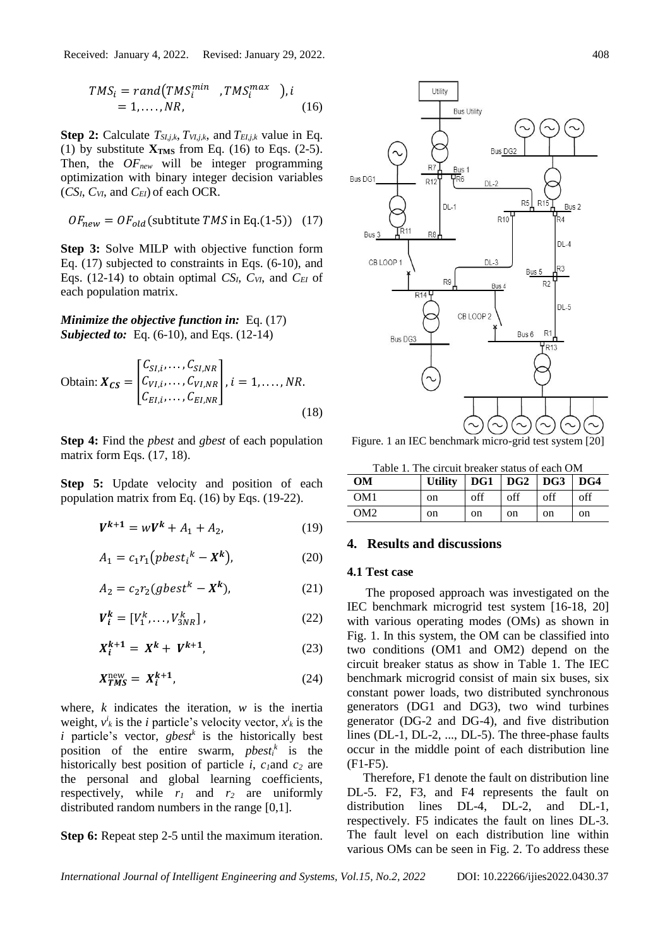$$
TMS_i = rand(TMS_i^{min} , TMS_i^{max} ), i
$$
  
= 1, ..., NR, (16)

**Step 2:** Calculate *TSI,j,k*, *TVI,j,k*, and *TEI,j,k* value in Eq. (1) by substitute  $X_{TMS}$  from Eq. (16) to Eqs. (2-5). Then, the *OFnew* will be integer programming optimization with binary integer decision variables (*CSI*, *CVI*, and *CEI*) of each OCR.

$$
OF_{new} = OF_{old} \text{(substitute } TMS \text{ in Eq. (1-5))} \quad (17)
$$

**Step 3:** Solve MILP with objective function form Eq. (17) subjected to constraints in Eqs. (6-10), and Eqs. (12-14) to obtain optimal *CSI*, *CVI*, and *CEI* of each population matrix.

*Minimize the objective function in:* Eq. (17) *Subjected to:* Eq. (6-10), and Eqs. (12-14)

Obtain: 
$$
X_{CS} = \begin{bmatrix} C_{SI,i}, \dots, C_{SI,NR} \\ C_{VI,i}, \dots, C_{VI,NR} \\ C_{EI,i}, \dots, C_{EI,NR} \end{bmatrix}, i = 1, \dots, NR.
$$
 (18)

**Step 4:** Find the *pbest* and *gbest* of each population matrix form Eqs.  $(17, 18)$ .

**Step 5:** Update velocity and position of each population matrix from Eq. (16) by Eqs. (19-22).

$$
V^{k+1} = wV^k + A_1 + A_2, \tag{19}
$$

$$
A_1 = c_1 r_1 (pbest_i^k - X^k), \tag{20}
$$

$$
A_2 = c_2 r_2 (gbest^k - X^k), \tag{21}
$$

$$
V_i^k = [V_1^k, \dots, V_{3NR}^k], \tag{22}
$$

$$
X_i^{k+1} = X^k + V^{k+1}, \tag{23}
$$

$$
X_{TMS}^{\text{new}} = X_i^{k+1},\tag{24}
$$

where, *k* indicates the iteration, *w* is the inertia weight,  $v^i_k$  is the *i* particle's velocity vector,  $x^i_k$  is the *i* particle's vector, *gbest<sup>k</sup>* is the historically best position of the entire swarm, *pbest<sub>i</sub>*<sup> $k$ </sup> is the historically best position of particle *i*, *c1*and *c<sup>2</sup>* are the personal and global learning coefficients, respectively, while  $r_1$  and  $r_2$  are uniformly distributed random numbers in the range [0,1].

**Step 6:** Repeat step 2-5 until the maximum iteration.



Figure. 1 an IEC benchmark micro-grid test system [20]

Table 1. The circuit breaker status of each OM

| <b>OM</b>       | Utility   $DG1$   $DG2$   $DG3$   $DG4$ |     |     |     |     |
|-----------------|-----------------------------------------|-----|-----|-----|-----|
| OM <sub>1</sub> | <sub>on</sub>                           | off | off | off | off |
| OM2             | on                                      | on  | on  | on  | on  |

# **4. Results and discussions**

#### **4.1 Test case**

The proposed approach was investigated on the IEC benchmark microgrid test system [16-18, 20] with various operating modes (OMs) as shown in Fig. 1. In this system, the OM can be classified into two conditions (OM1 and OM2) depend on the circuit breaker status as show in Table 1. The IEC benchmark microgrid consist of main six buses, six constant power loads, two distributed synchronous generators (DG1 and DG3), two wind turbines generator (DG-2 and DG-4), and five distribution lines (DL-1, DL-2, ..., DL-5). The three-phase faults occur in the middle point of each distribution line (F1-F5).

Therefore, F1 denote the fault on distribution line DL-5. F2, F3, and F4 represents the fault on distribution lines DL-4, DL-2, and DL-1, respectively. F5 indicates the fault on lines DL-3. The fault level on each distribution line within various OMs can be seen in Fig. 2. To address these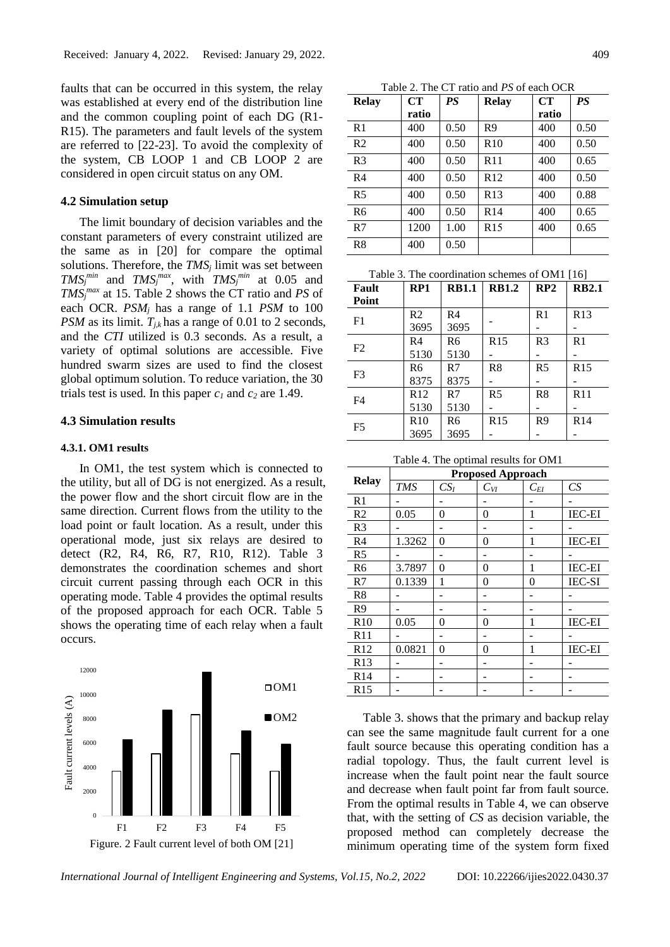faults that can be occurred in this system, the relay was established at every end of the distribution line and the common coupling point of each DG (R1- R15). The parameters and fault levels of the system are referred to [22-23]. To avoid the complexity of the system, CB LOOP 1 and CB LOOP 2 are considered in open circuit status on any OM.

# **4.2 Simulation setup**

The limit boundary of decision variables and the constant parameters of every constraint utilized are the same as in [20] for compare the optimal solutions. Therefore, the *TMS<sup>j</sup>* limit was set between *TMS*<sup>*min*</sup> and *TMS*<sup>*max*</sup>, with *TMS*<sup>*min*</sup> at 0.05 and *TMS<sup>j</sup> max* at 15. Table 2 shows the CT ratio and *PS* of each OCR. *PSM<sup>j</sup>* has a range of 1.1 *PSM* to 100 *PSM* as its limit.  $T_{jk}$  has a range of 0.01 to 2 seconds, and the *CTI* utilized is 0.3 seconds. As a result, a variety of optimal solutions are accessible. Five hundred swarm sizes are used to find the closest global optimum solution. To reduce variation, the 30 trials test is used. In this paper  $c<sub>1</sub>$  and  $c<sub>2</sub>$  are 1.49.

# **4.3 Simulation results**

## **4.3.1. OM1 results**

In OM1, the test system which is connected to the utility, but all of DG is not energized. As a result, the power flow and the short circuit flow are in the same direction. Current flows from the utility to the load point or fault location. As a result, under this operational mode, just six relays are desired to detect (R2, R4, R6, R7, R10, R12). Table 3 demonstrates the coordination schemes and short circuit current passing through each OCR in this operating mode. Table 4 provides the optimal results of the proposed approach for each OCR. Table 5 shows the operating time of each relay when a fault occurs.



Figure. 2 Fault current level of both OM [21]

Table 2. The CT ratio and *PS* of each OCR

| <b>Relay</b>   | CT    | <b>PS</b> | <b>Relay</b>    | CT    | <b>PS</b> |
|----------------|-------|-----------|-----------------|-------|-----------|
|                | ratio |           |                 | ratio |           |
| R <sub>1</sub> | 400   | 0.50      | R9              | 400   | 0.50      |
| R <sub>2</sub> | 400   | 0.50      | R10             | 400   | 0.50      |
| R <sub>3</sub> | 400   | 0.50      | R11             | 400   | 0.65      |
| R <sub>4</sub> | 400   | 0.50      | R12             | 400   | 0.50      |
| R <sub>5</sub> | 400   | 0.50      | R13             | 400   | 0.88      |
| R <sub>6</sub> | 400   | 0.50      | R <sub>14</sub> | 400   | 0.65      |
| R7             | 1200  | 1.00      | R <sub>15</sub> | 400   | 0.65      |
| R <sup>8</sup> | 400   | 0.50      |                 |       |           |

Table 3. The coordination schemes of OM1 [16]

| Fault          | RP1             | <b>RB1.1</b> | <b>RB1.2</b>   | RP2            | <b>RB2.1</b>    |
|----------------|-----------------|--------------|----------------|----------------|-----------------|
| Point          |                 |              |                |                |                 |
| F1             | R2              | R4           |                | R <sub>1</sub> | R13             |
|                | 3695            | 3695         |                |                |                 |
| F2             | R4              | R6           | R15            | R <sub>3</sub> | R1              |
|                | 5130            | 5130         |                |                |                 |
| F <sub>3</sub> | R6              | R7           | R8             | R <sub>5</sub> | R15             |
|                | 8375            | 8375         |                |                |                 |
| F4             | R <sub>12</sub> | R7           | R <sub>5</sub> | R8             | R <sub>11</sub> |
|                | 5130            | 5130         |                |                |                 |
| F <sub>5</sub> | R10             | R6           | R15            | R9             | R <sub>14</sub> |
|                | 3695            | 3695         |                |                |                 |

Table 4. The optimal results for OM1

| <b>Relay</b>   | <b>Proposed Approach</b> |          |                             |          |               |  |  |
|----------------|--------------------------|----------|-----------------------------|----------|---------------|--|--|
|                | <b>TMS</b>               | $CS_I$   | $\mathcal{C}_{\textit{VI}}$ | $C_{EI}$ | CS            |  |  |
| R1             |                          |          |                             |          |               |  |  |
| R <sub>2</sub> | 0.05                     | $\theta$ | 0                           | 1        | <b>IEC-EI</b> |  |  |
| R <sub>3</sub> |                          |          |                             |          |               |  |  |
| R <sub>4</sub> | 1.3262                   | $\theta$ | 0                           | 1        | <b>IEC-EI</b> |  |  |
| R <sub>5</sub> |                          |          |                             |          |               |  |  |
| R <sub>6</sub> | 3.7897                   | $\theta$ | 0                           | 1        | <b>IEC-EI</b> |  |  |
| R7             | 0.1339                   |          | 0                           | $\theta$ | <b>IEC-SI</b> |  |  |
| R8             |                          |          |                             |          |               |  |  |
| R9             |                          |          |                             |          |               |  |  |
| R10            | 0.05                     | $\theta$ | 0                           | 1        | <b>IEC-EI</b> |  |  |
| R11            |                          |          |                             |          |               |  |  |
| R12            | 0.0821                   | $\theta$ | 0                           | 1        | <b>IEC-EI</b> |  |  |
| R13            |                          |          |                             |          |               |  |  |
| R14            |                          |          |                             |          |               |  |  |
| R15            |                          |          |                             |          |               |  |  |

Table 3. shows that the primary and backup relay can see the same magnitude fault current for a one fault source because this operating condition has a radial topology. Thus, the fault current level is increase when the fault point near the fault source and decrease when fault point far from fault source. From the optimal results in Table 4, we can observe that, with the setting of *CS* as decision variable, the proposed method can completely decrease the minimum operating time of the system form fixed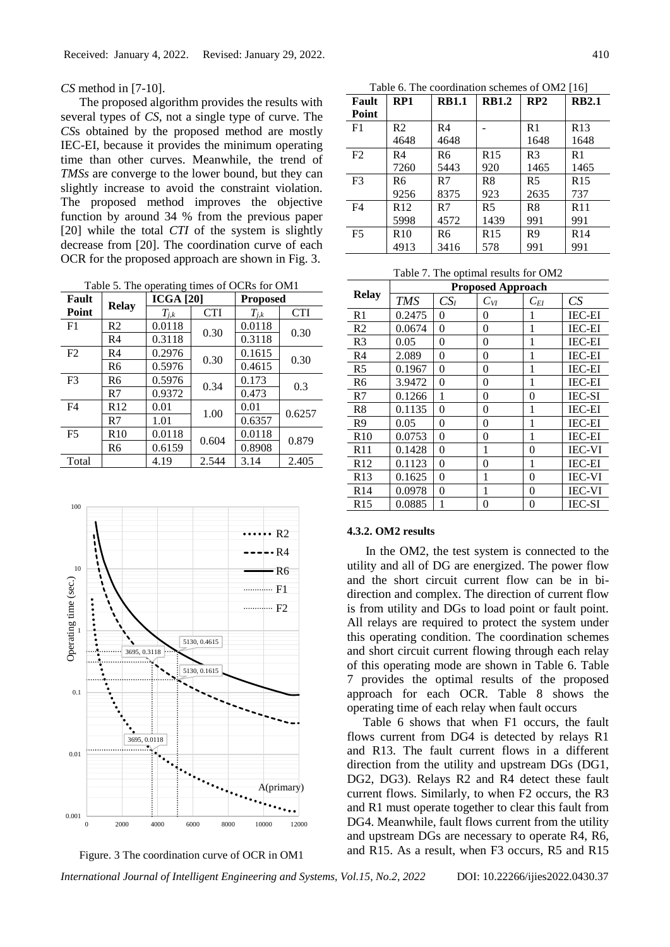*CS* method in [7-10].

The proposed algorithm provides the results with several types of *CS*, not a single type of curve. The *CS*s obtained by the proposed method are mostly IEC-EI, because it provides the minimum operating time than other curves. Meanwhile, the trend of *TMSs* are converge to the lower bound, but they can slightly increase to avoid the constraint violation. The proposed method improves the objective function by around 34 % from the previous paper [20] while the total *CTI* of the system is slightly decrease from [20]. The coordination curve of each OCR for the proposed approach are shown in Fig. 3.

Table 5. The operating times of OCRs for OM1

| <b>CTI</b> |
|------------|
| 0.30       |
|            |
| 0.30       |
|            |
|            |
|            |
| 0.6257     |
|            |
| 0.879      |
|            |
| 2.405      |
|            |





Table 6. The coordination schemes of OM2 [16]

| Fault          | RP1  | <b>RB1.1</b> | <b>RB1.2</b>    | RP2            | <b>RB2.1</b>    |
|----------------|------|--------------|-----------------|----------------|-----------------|
| Point          |      |              |                 |                |                 |
| F1             | R2   | R4           |                 | R <sub>1</sub> | R <sub>13</sub> |
|                | 4648 | 4648         |                 | 1648           | 1648            |
| F <sub>2</sub> | R4   | R6           | R15             | R <sub>3</sub> | R1              |
|                | 7260 | 5443         | 920             | 1465           | 1465            |
| F <sub>3</sub> | R6   | R7           | R8              | R <sub>5</sub> | R <sub>15</sub> |
|                | 9256 | 8375         | 923             | 2635           | 737             |
| F4             | R12  | R7           | R <sub>5</sub>  | R8             | R11             |
|                | 5998 | 4572         | 1439            | 991            | 991             |
| F <sub>5</sub> | R10  | R6           | R <sub>15</sub> | R <sub>9</sub> | R <sub>14</sub> |
|                | 4913 | 3416         | 578             | 991            | 991             |

Table 7. The optimal results for OM2

|                | <b>Proposed Approach</b> |          |          |          |               |
|----------------|--------------------------|----------|----------|----------|---------------|
| <b>Relay</b>   | <b>TMS</b>               | $CS_I$   | $C_{VI}$ | $C_{EI}$ | CS            |
| R <sub>1</sub> | 0.2475                   | 0        | 0        | 1        | <b>IEC-EI</b> |
| R <sub>2</sub> | 0.0674                   | 0        | 0        | 1        | <b>IEC-EI</b> |
| R <sub>3</sub> | 0.05                     | 0        | 0        | 1        | <b>IEC-EI</b> |
| R <sub>4</sub> | 2.089                    | 0        | 0        | 1        | <b>IEC-EI</b> |
| R <sub>5</sub> | 0.1967                   | 0        | 0        | 1        | <b>IEC-EI</b> |
| R6             | 3.9472                   | $\theta$ | 0        | 1        | <b>IEC-EI</b> |
| R7             | 0.1266                   | 1        | 0        | 0        | <b>IEC-SI</b> |
| R8             | 0.1135                   | 0        | 0        | 1        | <b>IEC-EI</b> |
| R <sub>9</sub> | 0.05                     | 0        | 0        | 1        | <b>IEC-EI</b> |
| R10            | 0.0753                   | 0        | 0        | 1        | <b>IEC-EI</b> |
| R11            | 0.1428                   | 0        | 1        | 0        | <b>IEC-VI</b> |
| R12            | 0.1123                   | $\theta$ | 0        | 1        | <b>IEC-EI</b> |
| R13            | 0.1625                   | 0        | 1        | 0        | <b>IEC-VI</b> |
| R14            | 0.0978                   | 0        | 1        | 0        | <b>IEC-VI</b> |
| R15            | 0.0885                   | 1        | 0        | 0        | <b>IEC-SI</b> |

#### **4.3.2. OM2 results**

In the OM2, the test system is connected to the utility and all of DG are energized. The power flow and the short circuit current flow can be in bidirection and complex. The direction of current flow is from utility and DGs to load point or fault point. All relays are required to protect the system under this operating condition. The coordination schemes and short circuit current flowing through each relay of this operating mode are shown in Table 6. Table 7 provides the optimal results of the proposed approach for each OCR. Table 8 shows the operating time of each relay when fault occurs

Table 6 shows that when F1 occurs, the fault flows current from DG4 is detected by relays R1 and R13. The fault current flows in a different direction from the utility and upstream DGs (DG1, DG2, DG3). Relays R2 and R4 detect these fault current flows. Similarly, to when F2 occurs, the R3 and R1 must operate together to clear this fault from DG4. Meanwhile, fault flows current from the utility and upstream DGs are necessary to operate R4, R6, and R15. As a result, when F3 occurs, R5 and R15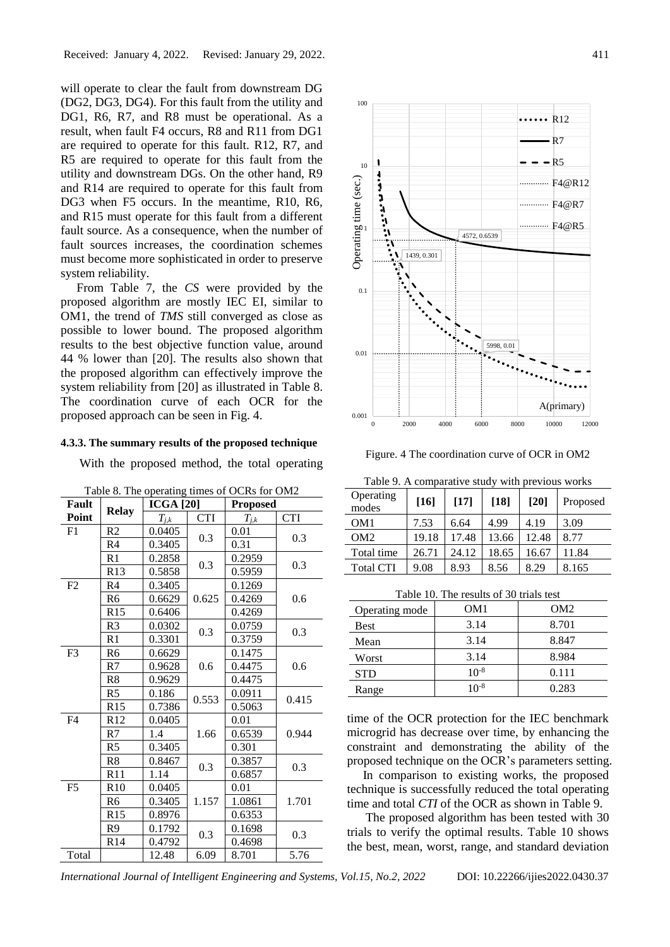will operate to clear the fault from downstream DG (DG2, DG3, DG4). For this fault from the utility and DG1, R6, R7, and R8 must be operational. As a result, when fault F4 occurs, R8 and R11 from DG1 are required to operate for this fault. R12, R7, and R5 are required to operate for this fault from the utility and downstream DGs. On the other hand, R9 and R14 are required to operate for this fault from DG3 when F5 occurs. In the meantime, R10, R6, and R15 must operate for this fault from a different fault source. As a consequence, when the number of fault sources increases, the coordination schemes must become more sophisticated in order to preserve system reliability.

From Table 7, the *CS* were provided by the proposed algorithm are mostly IEC EI, similar to OM1, the trend of *TMS* still converged as close as possible to lower bound. The proposed algorithm results to the best objective function value, around 44 % lower than [20]. The results also shown that the proposed algorithm can effectively improve the system reliability from [20] as illustrated in Table 8. The coordination curve of each OCR for the proposed approach can be seen in Fig. 4.

#### **4.3.3. The summary results of the proposed technique**

With the proposed method, the total operating

| <b>Fault</b>   | <b>Relay</b>    | <b>ICGA</b> [20] |            | <b>Proposed</b> |            |  |
|----------------|-----------------|------------------|------------|-----------------|------------|--|
| Point          |                 | $T_{j,k}$        | <b>CTI</b> | $T_{j,k}$       | <b>CTI</b> |  |
| F1             | R2              | 0.0405           | 0.3        | 0.01            | 0.3        |  |
|                | R4              | 0.3405           |            | 0.31            |            |  |
|                | R1              | 0.2858           | 0.3        | 0.2959          | 0.3        |  |
|                | R <sub>13</sub> | 0.5858           |            | 0.5959          |            |  |
| F2             | R <sub>4</sub>  | 0.3405           |            | 0.1269          |            |  |
|                | R <sub>6</sub>  | 0.6629           | 0.625      | 0.4269          | 0.6        |  |
|                | R15             | 0.6406           |            | 0.4269          |            |  |
|                | R <sub>3</sub>  | 0.0302           | 0.3        | 0.0759          | 0.3        |  |
|                | R1              | 0.3301           |            | 0.3759          |            |  |
| F <sub>3</sub> | R <sub>6</sub>  | 0.6629           |            | 0.1475          |            |  |
|                | R7              | 0.9628           | 0.6        | 0.4475          | 0.6        |  |
|                | R8              | 0.9629           |            | 0.4475          |            |  |
|                | R <sub>5</sub>  | 0.186            | 0.553      | 0.0911          | 0.415      |  |
|                | R15             | 0.7386           |            | 0.5063          |            |  |
| F4             | R <sub>12</sub> | 0.0405           |            | 0.01            |            |  |
|                | R7              | 1.4              | 1.66       | 0.6539          | 0.944      |  |
|                | R <sub>5</sub>  | 0.3405           |            | 0.301           |            |  |
|                | R8              | 0.8467           | 0.3        | 0.3857          | 0.3        |  |
|                | R11             | 1.14             |            | 0.6857          |            |  |
| F <sub>5</sub> | R10             | 0.0405           |            | 0.01            |            |  |
|                | R6              | 0.3405           | 1.157      | 1.0861          | 1.701      |  |
|                | R <sub>15</sub> | 0.8976           |            | 0.6353          |            |  |
|                | R <sub>9</sub>  | 0.1792           | 0.3        | 0.1698          | 0.3        |  |
|                | R <sub>14</sub> | 0.4792           |            | 0.4698          |            |  |
| Total          |                 | 12.48            | 6.09       | 8.701           | 5.76       |  |

| Table 8. The operating times of OCRs for OM2 |  |
|----------------------------------------------|--|
|                                              |  |



Figure. 4 The coordination curve of OCR in OM2

|                    | Table 9. A comparative study with previous works |       |        |        |          |  |
|--------------------|--------------------------------------------------|-------|--------|--------|----------|--|
| Operating<br>modes | $[16]$                                           | [17]  | $[18]$ | $[20]$ | Proposed |  |
| OM <sub>1</sub>    | 7.53                                             | 6.64  | 4.99   | 4.19   | 3.09     |  |
| OM <sub>2</sub>    | 19.18                                            | 17.48 | 13.66  | 12.48  | 8.77     |  |
| Total time         | 26.71                                            | 24.12 | 18.65  | 16.67  | 11.84    |  |
| <b>Total CTI</b>   | 9.08                                             | 8.93  | 8.56   | 8.29   | 8.165    |  |

Table 10. The results of 30 trials test

| Operating mode | OM1       | OM2   |
|----------------|-----------|-------|
| Best           | 3.14      | 8.701 |
| Mean           | 3.14      | 8.847 |
| Worst          | 3.14      | 8.984 |
| <b>STD</b>     | $10^{-8}$ | 0.111 |
| Range          | $10^{-8}$ | 0.283 |

time of the OCR protection for the IEC benchmark microgrid has decrease over time, by enhancing the constraint and demonstrating the ability of the proposed technique on the OCR's parameters setting.

In comparison to existing works, the proposed technique is successfully reduced the total operating time and total *CTI* of the OCR as shown in Table 9.

The proposed algorithm has been tested with 30 trials to verify the optimal results. Table 10 shows the best, mean, worst, range, and standard deviation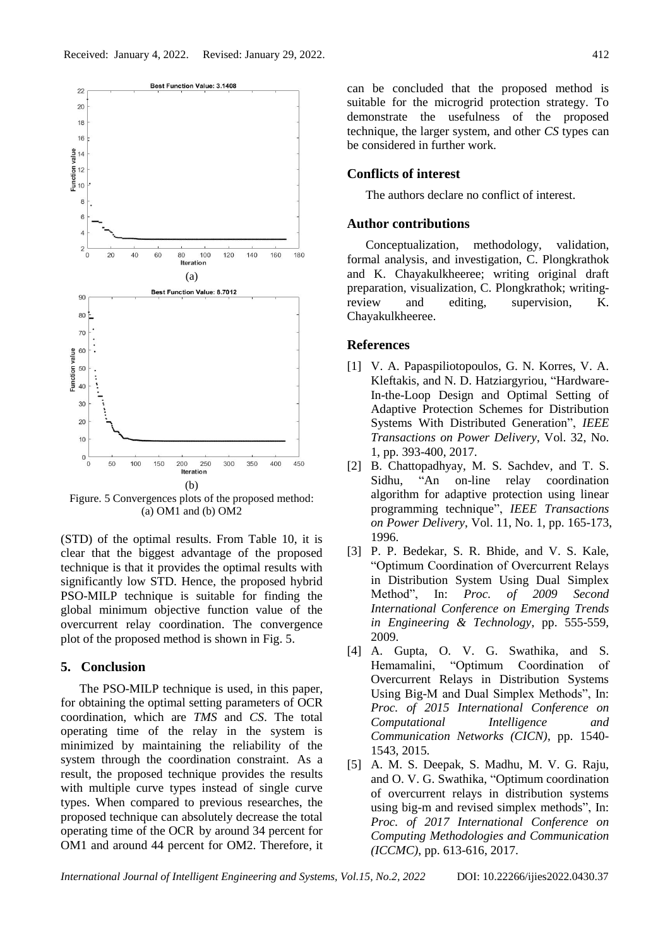

Figure. 5 Convergences plots of the proposed method: (a) OM1 and (b) OM2

(STD) of the optimal results. From Table 10, it is clear that the biggest advantage of the proposed technique is that it provides the optimal results with significantly low STD. Hence, the proposed hybrid PSO-MILP technique is suitable for finding the global minimum objective function value of the overcurrent relay coordination. The convergence plot of the proposed method is shown in Fig. 5.

#### **5. Conclusion**

The PSO-MILP technique is used, in this paper, for obtaining the optimal setting parameters of OCR coordination, which are *TMS* and *CS*. The total operating time of the relay in the system is minimized by maintaining the reliability of the system through the coordination constraint. As a result, the proposed technique provides the results with multiple curve types instead of single curve types. When compared to previous researches, the proposed technique can absolutely decrease the total operating time of the OCR by around 34 percent for OM1 and around 44 percent for OM2. Therefore, it can be concluded that the proposed method is suitable for the microgrid protection strategy. To demonstrate the usefulness of the proposed technique, the larger system, and other *CS* types can be considered in further work.

## **Conflicts of interest**

The authors declare no conflict of interest.

# **Author contributions**

Conceptualization, methodology, validation, formal analysis, and investigation, C. Plongkrathok and K. Chayakulkheeree; writing original draft preparation, visualization, C. Plongkrathok; writingreview and editing, supervision, K. Chayakulkheeree.

## **References**

- [1] V. A. Papaspiliotopoulos, G. N. Korres, V. A. Kleftakis, and N. D. Hatziargyriou, "Hardware-In-the-Loop Design and Optimal Setting of Adaptive Protection Schemes for Distribution Systems With Distributed Generation", *IEEE Transactions on Power Delivery*, Vol. 32, No. 1, pp. 393-400, 2017.
- [2] B. Chattopadhyay, M. S. Sachdev, and T. S. Sidhu, "An on-line relay coordination algorithm for adaptive protection using linear programming technique", *IEEE Transactions on Power Delivery*, Vol. 11, No. 1, pp. 165-173, 1996.
- [3] P. P. Bedekar, S. R. Bhide, and V. S. Kale, "Optimum Coordination of Overcurrent Relays in Distribution System Using Dual Simplex Method", In: *Proc. of 2009 Second International Conference on Emerging Trends in Engineering & Technology*, pp. 555-559, 2009.
- [4] A. Gupta, O. V. G. Swathika, and S. Hemamalini, "Optimum Coordination of Overcurrent Relays in Distribution Systems Using Big-M and Dual Simplex Methods", In: *Proc. of 2015 International Conference on Computational Intelligence and Communication Networks (CICN)*, pp. 1540- 1543, 2015.
- [5] A. M. S. Deepak, S. Madhu, M. V. G. Raju, and O. V. G. Swathika, "Optimum coordination of overcurrent relays in distribution systems using big-m and revised simplex methods", In: *Proc. of 2017 International Conference on Computing Methodologies and Communication (ICCMC)*, pp. 613-616, 2017.